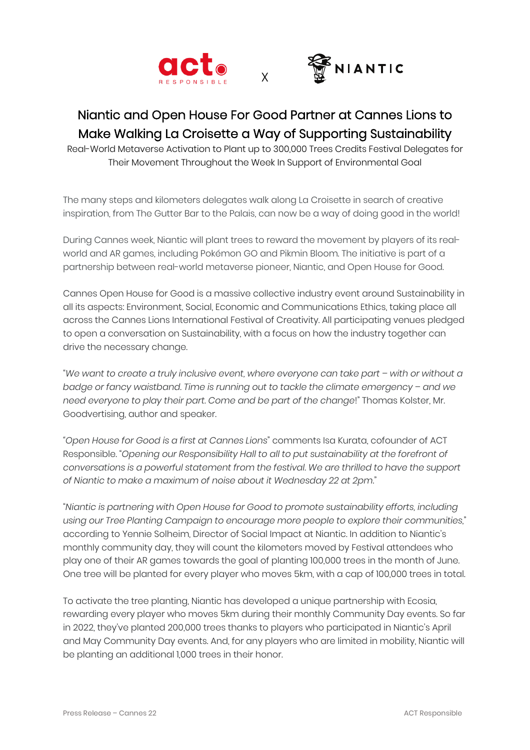



## Niantic and Open House For Good Partner at Cannes Lions to Make Walking La Croisette a Way of Supporting Sustainability

X

Real-World Metaverse Activation to Plant up to 300,000 Trees Credits Festival Delegates for Their Movement Throughout the Week In Support of Environmental Goal

The many steps and kilometers delegates walk along La Croisette in search of creative inspiration, from The Gutter Bar to the Palais, can now be a way of doing good in the world!

During Cannes week, Niantic will plant trees to reward the movement by players of its realworld and AR games, including Pokémon GO and Pikmin Bloom. The initiative is part of a partnership between real-world metaverse pioneer, Niantic, and Open House for Good.

Cannes Open House for Good is a massive collective industry event around Sustainability in all its aspects: Environment, Social, Economic and Communications Ethics, taking place all across the Cannes Lions International Festival of Creativity. All participating venues pledged to open a conversation on Sustainability, with a focus on how the industry together can drive the necessary change.

"*We want to create a truly inclusive event, where everyone can take part – with or without a badge or fancy waistband. Time is running out to tackle the climate emergency – and we need everyone to play their part. Come and be part of the change*!" Thomas Kolster, Mr. Goodvertising, author and speaker.

*"Open House for Good is a first at Cannes Lions*" comments Isa Kurata, cofounder of ACT Responsible. "*Opening our Responsibility Hall to all to put sustainability at the forefront of conversations is a powerful statement from the festival. We are thrilled to have the support of Niantic to make a maximum of noise about it Wednesday 22 at 2pm*."

"*Niantic is partnering with Open House for Good to promote sustainability efforts, including using our Tree Planting Campaign to encourage more people to explore their communities*," according to Yennie Solheim, Director of Social Impact at Niantic. In addition to Niantic's monthly community day, they will count the kilometers moved by Festival attendees who play one of their AR games towards the goal of planting 100,000 trees in the month of June. One tree will be planted for every player who moves 5km, with a cap of 100,000 trees in total.

To activate the tree planting, Niantic has developed a unique partnership with Ecosia, rewarding every player who moves 5km during their monthly Community Day events. So far in 2022, they've planted 200,000 trees thanks to players who participated in Niantic's April and May Community Day events. And, for any players who are limited in mobility, Niantic will be planting an additional 1,000 trees in their honor.